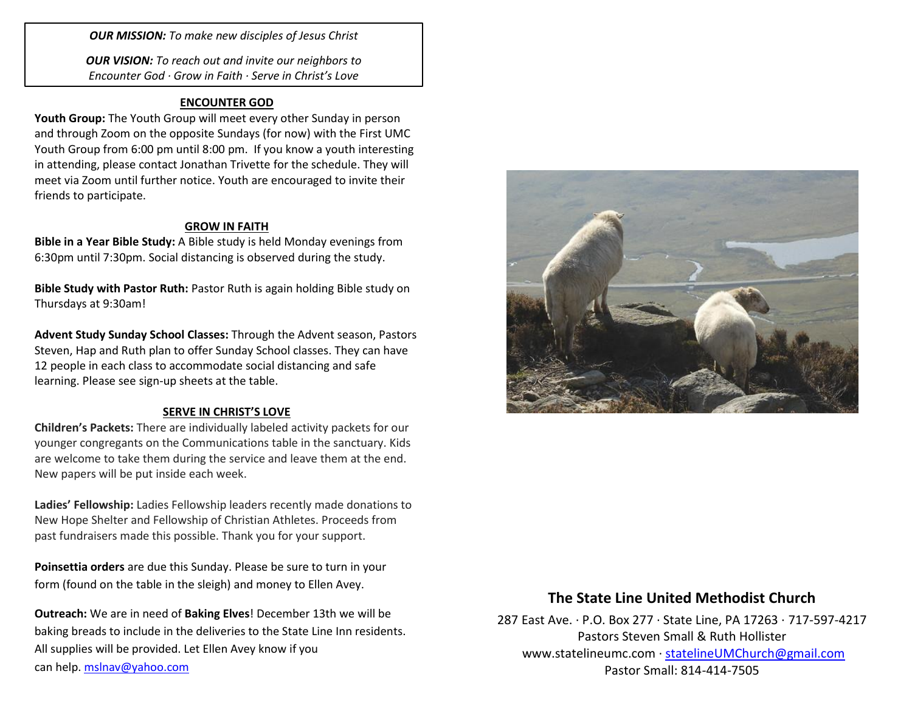*OUR MISSION: To make new disciples of Jesus Christ*

*OUR VISION: To reach out and invite our neighbors to Encounter God · Grow in Faith · Serve in Christ's Love*

#### **ENCOUNTER GOD**

**Youth Group:** The Youth Group will meet every other Sunday in person and through Zoom on the opposite Sundays (for now) with the First UMC Youth Group from 6:00 pm until 8:00 pm. If you know a youth interesting in attending, please contact Jonathan Trivette for the schedule. They will meet via Zoom until further notice. Youth are encouraged to invite their friends to participate.

#### **GROW IN FAITH**

**Bible in a Year Bible Study:** A Bible study is held Monday evenings from 6:30pm until 7:30pm. Social distancing is observed during the study.

**Bible Study with Pastor Ruth:** Pastor Ruth is again holding Bible study on Thursdays at 9:30am!

**Advent Study Sunday School Classes:** Through the Advent season, Pastors Steven, Hap and Ruth plan to offer Sunday School classes. They can have 12 people in each class to accommodate social distancing and safe learning. Please see sign-up sheets at the table.

#### **SERVE IN CHRIST'S LOVE**

**Children's Packets:** There are individually labeled activity packets for our younger congregants on the Communications table in the sanctuary. Kids are welcome to take them during the service and leave them at the end. New papers will be put inside each week.

**Ladies' Fellowship:** Ladies Fellowship leaders recently made donations to New Hope Shelter and Fellowship of Christian Athletes. Proceeds from past fundraisers made this possible. Thank you for your support.

**Poinsettia orders** are due this Sunday. Please be sure to turn in your form (found on the table in the sleigh) and money to Ellen Avey.

**Outreach:** We are in need of **Baking Elves**! December 13th we will be baking breads to include in the deliveries to the State Line Inn residents. All supplies will be provided. Let Ellen Avey know if you can help. [mslnav@yahoo.com](mailto:mslnav@yahoo.com)



# **The State Line United Methodist Church**

287 East Ave. · P.O. Box 277 · State Line, PA 17263 · 717-597-4217 Pastors Steven Small & Ruth Hollister [www.statelineumc.com](http://www.statelineumc.com/) · [statelineUMChurch@gmail.com](mailto:statelineUMChurch@gmail.com) Pastor Small: 814-414-7505